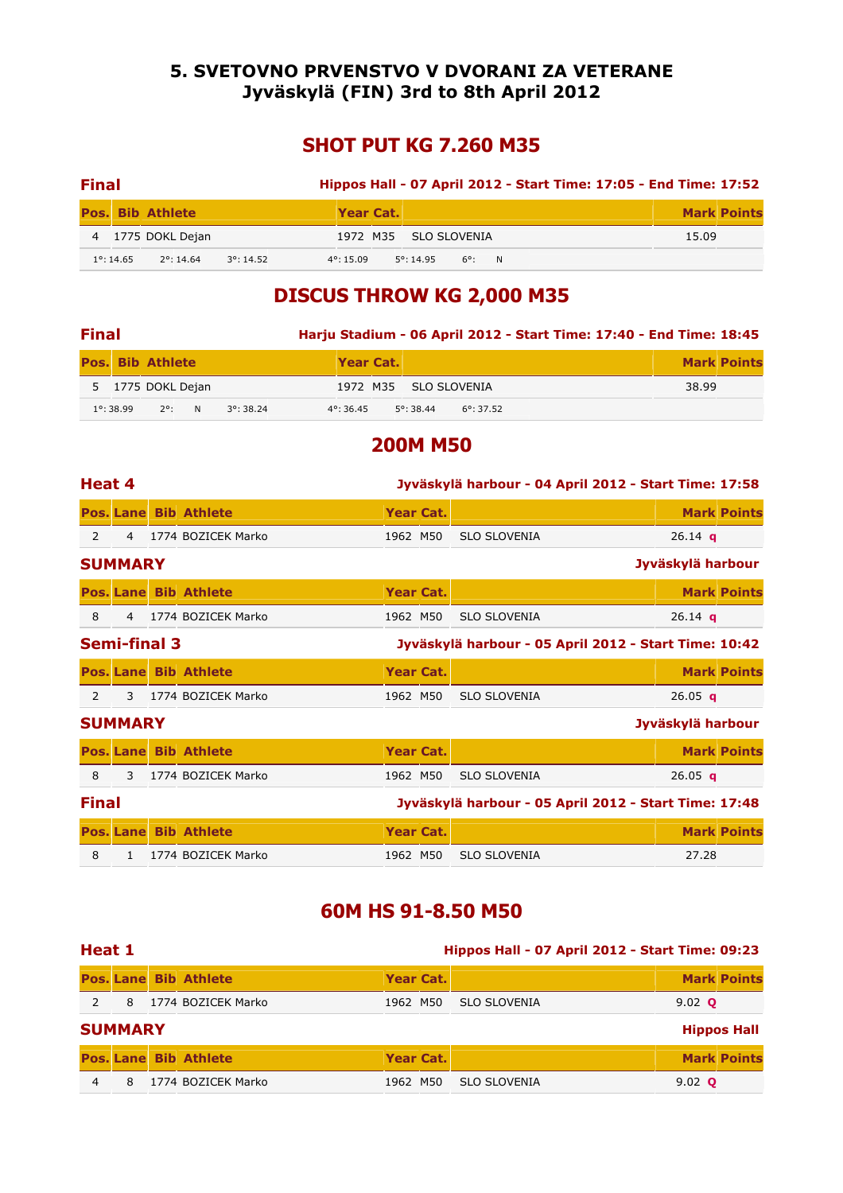#### 5. SVETOVNO PRVENSTVO V DVORANI ZA VETERANE Jyväskylä (FIN) 3rd to 8th April 2012

# SHOT PUT KG 7.260 M35

| <b>Final</b> |                     |                         |                     |                     |                       |       |  | Hippos Hall - 07 April 2012 - Start Time: 17:05 - End Time: 17:52 |                    |
|--------------|---------------------|-------------------------|---------------------|---------------------|-----------------------|-------|--|-------------------------------------------------------------------|--------------------|
|              |                     | <b>Pos. Bib Athlete</b> |                     | Year Cat.           |                       |       |  |                                                                   | <b>Mark Points</b> |
|              |                     | 4 1775 DOKL Dejan       |                     |                     | 1972 M35 SLO SLOVENIA |       |  | 15.09                                                             |                    |
|              | $1^{\circ}$ : 14.65 | $2^{\circ}$ : 14.64     | $3^{\circ}$ : 14.52 | $4^{\circ}$ : 15.09 | $5^{\circ}$ : 14.95   | 6°: N |  |                                                                   |                    |

# DISCUS THROW KG 2,000 M35

| <b>Final</b> |                     |                         |  |                     | Harju Stadium - 06 April 2012 - Start Time: 17:40 - End Time: 18:45 |           |                     |                       |  |  |  |       |                    |
|--------------|---------------------|-------------------------|--|---------------------|---------------------------------------------------------------------|-----------|---------------------|-----------------------|--|--|--|-------|--------------------|
|              |                     | <b>Pos. Bib Athlete</b> |  |                     |                                                                     | Year Cat. |                     |                       |  |  |  |       | <b>Mark Points</b> |
|              |                     | 5 1775 DOKL Dejan       |  |                     |                                                                     |           |                     | 1972 M35 SLO SLOVENIA |  |  |  | 38.99 |                    |
|              | $1^{\circ}$ : 38.99 | $2^{\circ}$ : N         |  | $3^{\circ}$ : 38.24 | $4^{\circ}$ : 36.45                                                 |           | $5^{\circ}$ : 38.44 | $6^{\circ}$ : 37.52   |  |  |  |       |                    |

#### 200M M50

| Heat 4<br>Jyväskylä harbour - 04 April 2012 - Start Time: 17:58 |                     |  |                              |                  |  |                                                       |                   |                    |  |
|-----------------------------------------------------------------|---------------------|--|------------------------------|------------------|--|-------------------------------------------------------|-------------------|--------------------|--|
|                                                                 |                     |  | <b>Pos. Lane Bib Athlete</b> | Year Cat.        |  |                                                       |                   | <b>Mark Points</b> |  |
| $\mathcal{L}$                                                   | $\overline{4}$      |  | 1774 BOZICEK Marko           | 1962 M50         |  | <b>SLO SLOVENIA</b>                                   | 26.14 $q$         |                    |  |
|                                                                 | <b>SUMMARY</b>      |  |                              |                  |  |                                                       | Jyväskylä harbour |                    |  |
|                                                                 |                     |  | <b>Pos. Lane Bib Athlete</b> | Year Cat.        |  |                                                       |                   | <b>Mark Points</b> |  |
| 8                                                               | $\overline{4}$      |  | 1774 BOZICEK Marko           | 1962 M50         |  | <b>SLO SLOVENIA</b>                                   | 26.14 $q$         |                    |  |
|                                                                 | <b>Semi-final 3</b> |  |                              |                  |  | Jyväskylä harbour - 05 April 2012 - Start Time: 10:42 |                   |                    |  |
|                                                                 |                     |  | <b>Pos. Lane Bib Athlete</b> | Year Cat.        |  |                                                       |                   | <b>Mark Points</b> |  |
| $\overline{2}$                                                  | $\mathbf{3}$        |  | 1774 BOZICEK Marko           | 1962 M50         |  | <b>SLO SLOVENIA</b>                                   | 26.05 $q$         |                    |  |
|                                                                 | <b>SUMMARY</b>      |  |                              |                  |  |                                                       | Jyväskylä harbour |                    |  |
|                                                                 |                     |  | <b>Pos. Lane Bib Athlete</b> | Year Cat.        |  |                                                       |                   | <b>Mark Points</b> |  |
| 8                                                               | 3                   |  | 1774 BOZICEK Marko           | 1962 M50         |  | <b>SLO SLOVENIA</b>                                   | 26.05 $q$         |                    |  |
| <b>Final</b>                                                    |                     |  |                              |                  |  | Jyväskylä harbour - 05 April 2012 - Start Time: 17:48 |                   |                    |  |
|                                                                 |                     |  | <b>Pos. Lane Bib Athlete</b> | <b>Year Cat.</b> |  |                                                       |                   | <b>Mark Points</b> |  |
| 8                                                               | $\mathbf{1}$        |  | 1774 BOZICEK Marko           | 1962 M50         |  | <b>SLO SLOVENIA</b>                                   | 27.28             |                    |  |

# 60M HS 91-8.50 M50

| Heat 1 |                |                              | <b>Hippos Hall - 07 April 2012 - Start Time: 09:23</b> |           |                     |                |                    |  |  |  |  |
|--------|----------------|------------------------------|--------------------------------------------------------|-----------|---------------------|----------------|--------------------|--|--|--|--|
|        |                | <b>Pos. Lane Bib Athlete</b> |                                                        | Year Cat. |                     |                | <b>Mark Points</b> |  |  |  |  |
|        | 8              | 1774 BOZICEK Marko           | 1962 M50                                               |           | <b>SLO SLOVENIA</b> | 9.02 $\bullet$ |                    |  |  |  |  |
|        | <b>SUMMARY</b> |                              |                                                        |           |                     |                | <b>Hippos Hall</b> |  |  |  |  |
|        |                | <b>Pos. Lane Bib Athlete</b> |                                                        | Year Cat. |                     |                | <b>Mark Points</b> |  |  |  |  |
|        | 8              | 1774 BOZICEK Marko           | 1962 M50                                               |           | <b>SLO SLOVENIA</b> | 9.02 $\bullet$ |                    |  |  |  |  |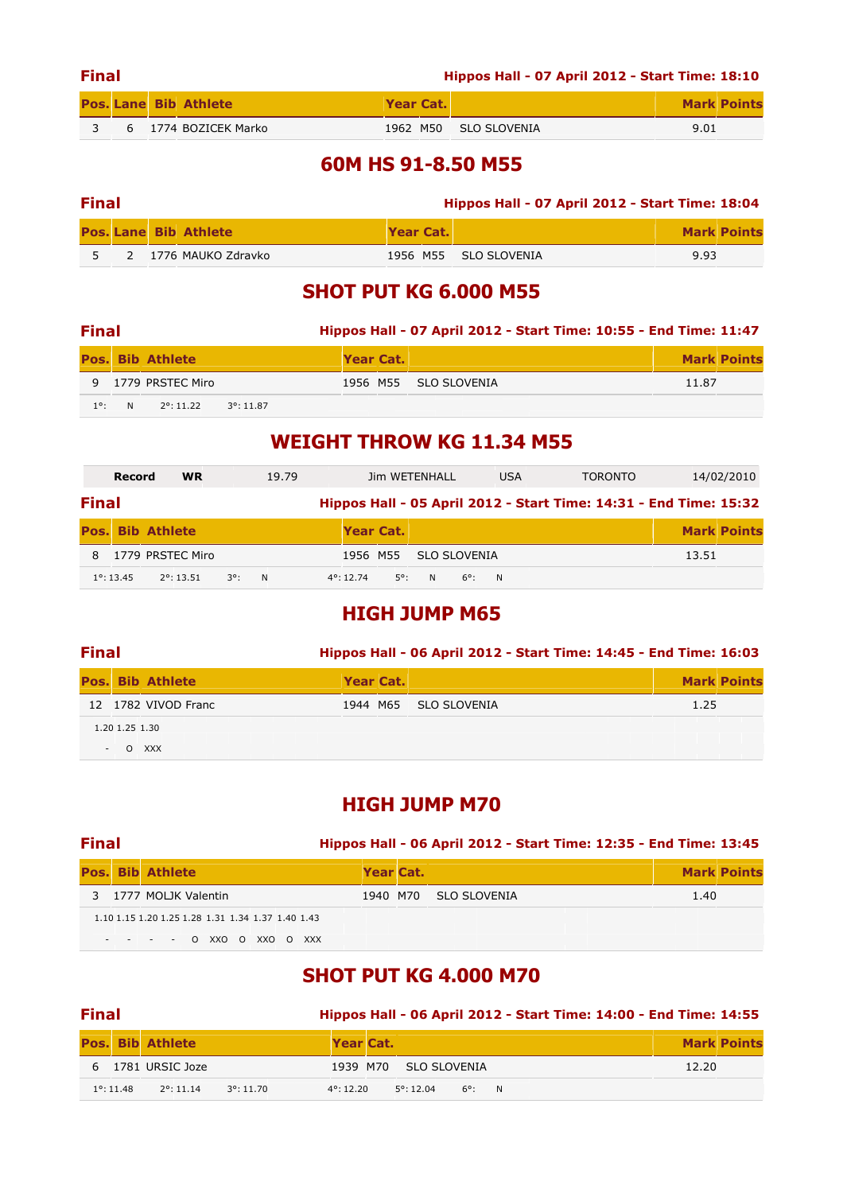|     | <b>Final</b> |  |                              |           |  | Hippos Hall - 07 April 2012 - Start Time: 18:10 |      |                    |  |  |  |  |  |  |
|-----|--------------|--|------------------------------|-----------|--|-------------------------------------------------|------|--------------------|--|--|--|--|--|--|
|     |              |  | <b>Pos. Lane Bib Athlete</b> | Year Cat. |  |                                                 |      | <b>Mark Points</b> |  |  |  |  |  |  |
| ़ २ |              |  | 6 1774 BOZICEK Marko         |           |  | 1962 M50 SLO SLOVENIA                           | 9.01 |                    |  |  |  |  |  |  |

### 60M HS 91-8.50 M55

| <b>Final</b> |  |  |                              | <b>Hippos Hall - 07 April 2012 - Start Time: 18:04</b> |  |                       |      |                    |  |  |  |  |
|--------------|--|--|------------------------------|--------------------------------------------------------|--|-----------------------|------|--------------------|--|--|--|--|
|              |  |  | <b>Pos. Lane Bib Athlete</b> | Year Cat.                                              |  |                       |      | <b>Mark Points</b> |  |  |  |  |
|              |  |  | 2 1776 MAUKO Zdravko         |                                                        |  | 1956 M55 SLO SLOVENIA | 9.93 |                    |  |  |  |  |

# SHOT PUT KG 6.000 M55

| <b>Final</b>  |   |                         |                     |           | Hippos Hall - 07 April 2012 - Start Time: 10:55 - End Time: 11:47 |       |                    |
|---------------|---|-------------------------|---------------------|-----------|-------------------------------------------------------------------|-------|--------------------|
|               |   | <b>Pos. Bib Athlete</b> |                     | Year Cat. |                                                                   |       | <b>Mark Points</b> |
|               |   | 9 1779 PRSTEC Miro      |                     |           | 1956 M55 SLO SLOVENIA                                             | 11.87 |                    |
| $1^{\circ}$ : | N | $2^{\circ}$ : 11.22     | $3^{\circ}$ : 11.87 |           |                                                                   |       |                    |

## WEIGHT THROW KG 11.34 M55

|              | Record              | <b>WR</b>               |     | 19.79    |                     |           | Jim WETENHALL |                 | <b>USA</b> | <b>TORONTO</b> |                                                                   | 14/02/2010         |
|--------------|---------------------|-------------------------|-----|----------|---------------------|-----------|---------------|-----------------|------------|----------------|-------------------------------------------------------------------|--------------------|
| <b>Final</b> |                     |                         |     |          |                     |           |               |                 |            |                | Hippos Hall - 05 April 2012 - Start Time: 14:31 - End Time: 15:32 |                    |
|              |                     | <b>Pos. Bib Athlete</b> |     |          |                     | Year Cat. |               |                 |            |                |                                                                   | <b>Mark Points</b> |
|              |                     | 1779 PRSTEC Miro        |     |          |                     | 1956 M55  | SLO SLOVENIA  |                 |            |                | 13.51                                                             |                    |
|              | $1^{\circ}$ : 13.45 | $2^{\circ}$ : 13.51     | 3°. | <b>N</b> | $4^{\circ}$ : 12.74 | 50.       | <b>N</b>      | $6^{\circ}$ : N |            |                |                                                                   |                    |

### HIGH JUMP M65

| <b>Final</b>             |                |                         |           | Hippos Hall - 06 April 2012 - Start Time: 14:45 - End Time: 16:03 |                       |      |                    |  |  |  |  |  |  |
|--------------------------|----------------|-------------------------|-----------|-------------------------------------------------------------------|-----------------------|------|--------------------|--|--|--|--|--|--|
|                          |                | <b>Pos. Bib Athlete</b> | Year Cat. |                                                                   |                       |      | <b>Mark Points</b> |  |  |  |  |  |  |
|                          |                | 12 1782 VIVOD Franc     |           |                                                                   | 1944 M65 SLO SLOVENIA | 1.25 |                    |  |  |  |  |  |  |
|                          | 1.20 1.25 1.30 |                         |           |                                                                   |                       |      |                    |  |  |  |  |  |  |
| $\overline{\phantom{a}}$ |                | O XXX                   |           |                                                                   |                       |      |                    |  |  |  |  |  |  |

### HIGH JUMP M70

| <b>Final</b> |                                                   | Hippos Hall - 06 April 2012 - Start Time: 12:35 - End Time: 13:45 |           |                       |      |                    |  |  |  |
|--------------|---------------------------------------------------|-------------------------------------------------------------------|-----------|-----------------------|------|--------------------|--|--|--|
|              | <b>Pos. Bib Athlete</b>                           |                                                                   | Year Cat. |                       |      | <b>Mark Points</b> |  |  |  |
|              | 3 1777 MOLIK Valentin                             |                                                                   |           | 1940 M70 SLO SLOVENIA | 1.40 |                    |  |  |  |
|              | 1.10 1.15 1.20 1.25 1.28 1.31 1.34 1.37 1.40 1.43 |                                                                   |           |                       |      |                    |  |  |  |
|              | - - - - - 0 XXO O XXO O XXX                       |                                                                   |           |                       |      |                    |  |  |  |

# SHOT PUT KG 4.000 M70

| <b>Final</b>        |                         |                     |           | Hippos Hall - 06 April 2012 - Start Time: 14:00 - End Time: 14:55 |                              |  |  |  |       |                    |  |
|---------------------|-------------------------|---------------------|-----------|-------------------------------------------------------------------|------------------------------|--|--|--|-------|--------------------|--|
|                     | <b>Pos. Bib Athlete</b> |                     | Year Cat. |                                                                   |                              |  |  |  |       | <b>Mark Points</b> |  |
|                     | 6 1781 URSIC Joze       |                     |           |                                                                   | 1939 M70 SLO SLOVENIA        |  |  |  | 12.20 |                    |  |
| $1^{\circ}$ : 11.48 | $2^{\circ}$ : 11.14     | $3^{\circ}$ : 11.70 | 4°: 12.20 |                                                                   | $5^{\circ}$ : 12.04<br>6°: N |  |  |  |       |                    |  |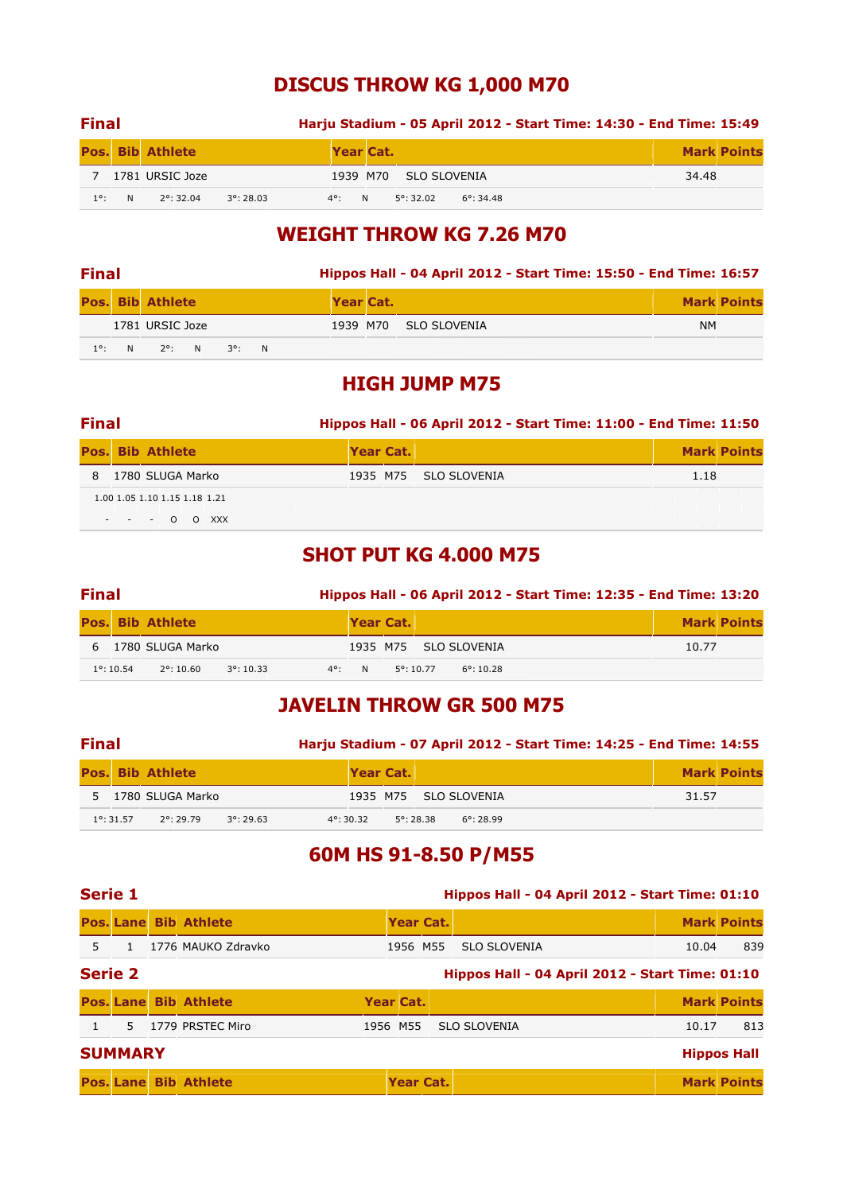# DISCUS THROW KG 1,000 M70

| <b>Final</b>  |   |                     |                     |                 |                       |                     | Harju Stadium - 05 April 2012 - Start Time: 14:30 - End Time: 15:49 |       |                    |
|---------------|---|---------------------|---------------------|-----------------|-----------------------|---------------------|---------------------------------------------------------------------|-------|--------------------|
|               |   | Pos. Bib Athlete    |                     | Year Cat.       |                       |                     |                                                                     |       | <b>Mark Points</b> |
|               |   | 1781 URSIC Joze     |                     |                 | 1939 M70 SLO SLOVENIA |                     |                                                                     | 34.48 |                    |
| $1^{\circ}$ : | N | $2^{\circ}$ : 32.04 | $3^{\circ}$ : 28.03 | $4^{\circ}$ : N | $5^{\circ}$ : 32.02   | $6^{\circ}$ : 34.48 |                                                                     |       |                    |

# WEIGHT THROW KG 7.26 M70

| <b>Final</b>  |  |                         |  |  |  |           | Hippos Hall - 04 April 2012 - Start Time: 15:50 - End Time: 16:57 |           |                    |
|---------------|--|-------------------------|--|--|--|-----------|-------------------------------------------------------------------|-----------|--------------------|
|               |  | <b>Pos. Bib Athlete</b> |  |  |  | Year Cat. |                                                                   |           | <b>Mark Points</b> |
|               |  | 1781 URSIC Joze         |  |  |  |           | 1939 M70 SLO SLOVENIA                                             | <b>NM</b> |                    |
| $1^{\circ}$ : |  | N 2°: N 3°: N           |  |  |  |           |                                                                   |           |                    |

## HIGH JUMP M75

| <b>Final</b> |                               |  |           | Hippos Hall - 06 April 2012 - Start Time: 11:00 - End Time: 11:50 |      |                    |
|--------------|-------------------------------|--|-----------|-------------------------------------------------------------------|------|--------------------|
|              | <b>Pos. Bib Athlete</b>       |  | Year Cat. |                                                                   |      | <b>Mark Points</b> |
|              | 8 1780 SLUGA Marko            |  |           | 1935 M75 SLO SLOVENIA                                             | 1.18 |                    |
|              | 1.00 1.05 1.10 1.15 1.18 1.21 |  |           |                                                                   |      |                    |
|              | $- - - 0$ O XXX               |  |           |                                                                   |      |                    |

# SHOT PUT KG 4.000 M75

| <b>Final</b>        |                         |                     |  | Hippos Hall - 06 April 2012 - Start Time: 12:35 - End Time: 13:20 |                     |                       |       |                    |  |  |  |
|---------------------|-------------------------|---------------------|--|-------------------------------------------------------------------|---------------------|-----------------------|-------|--------------------|--|--|--|
|                     | <b>Pos. Bib Athlete</b> |                     |  | Year Cat.                                                         |                     |                       |       | <b>Mark Points</b> |  |  |  |
|                     | 6 1780 SLUGA Marko      |                     |  |                                                                   |                     | 1935 M75 SLO SLOVENIA | 10.77 |                    |  |  |  |
| $1^{\circ}$ : 10.54 | $2^{\circ}$ : 10.60     | $3^{\circ}$ : 10.33 |  | $4^{\circ}$ : N                                                   | $5^{\circ}$ : 10.77 | $6^{\circ}$ : 10.28   |       |                    |  |  |  |

# JAVELIN THROW GR 500 M75

| <b>Final</b> |                     |                         |                     |                     |                     | Harju Stadium - 07 April 2012 - Start Time: 14:25 - End Time: 14:55 |  |       |                    |
|--------------|---------------------|-------------------------|---------------------|---------------------|---------------------|---------------------------------------------------------------------|--|-------|--------------------|
|              |                     | <b>Pos. Bib Athlete</b> |                     | Year Cat.           |                     |                                                                     |  |       | <b>Mark Points</b> |
|              |                     | 5 1780 SLUGA Marko      |                     |                     |                     | 1935 M75 SLO SLOVENIA                                               |  | 31.57 |                    |
|              | $1^{\circ}$ : 31.57 | 20:29.79                | $3^{\circ}$ : 29.63 | $4^{\circ}$ : 30.32 | $5^{\circ}$ : 28.38 | $6^{\circ}$ : 28.99                                                 |  |       |                    |

# 60M HS 91-8.50 P/M55

| <b>Serie 1</b> |                |                              |           | Hippos Hall - 04 April 2012 - Start Time: 01:10 |  |                                                 |       |                    |  |  |
|----------------|----------------|------------------------------|-----------|-------------------------------------------------|--|-------------------------------------------------|-------|--------------------|--|--|
|                |                | <b>Pos. Lane Bib Athlete</b> |           | Year Cat.                                       |  |                                                 |       | <b>Mark Points</b> |  |  |
| 5.             |                | 1776 MAUKO Zdravko           |           | 1956 M55                                        |  | <b>SLO SLOVENIA</b>                             | 10.04 | 839                |  |  |
| <b>Serie 2</b> |                |                              |           |                                                 |  | Hippos Hall - 04 April 2012 - Start Time: 01:10 |       |                    |  |  |
|                |                | <b>Pos. Lane Bib Athlete</b> | Year Cat. |                                                 |  |                                                 |       | <b>Mark Points</b> |  |  |
|                |                | 5 1779 PRSTEC Miro           | 1956 M55  |                                                 |  | <b>SLO SLOVENIA</b>                             | 10.17 | 813                |  |  |
|                | <b>SUMMARY</b> |                              |           |                                                 |  |                                                 |       | <b>Hippos Hall</b> |  |  |
|                |                | <b>Pos. Lane Bib Athlete</b> |           | Year Cat.                                       |  |                                                 |       | <b>Mark Points</b> |  |  |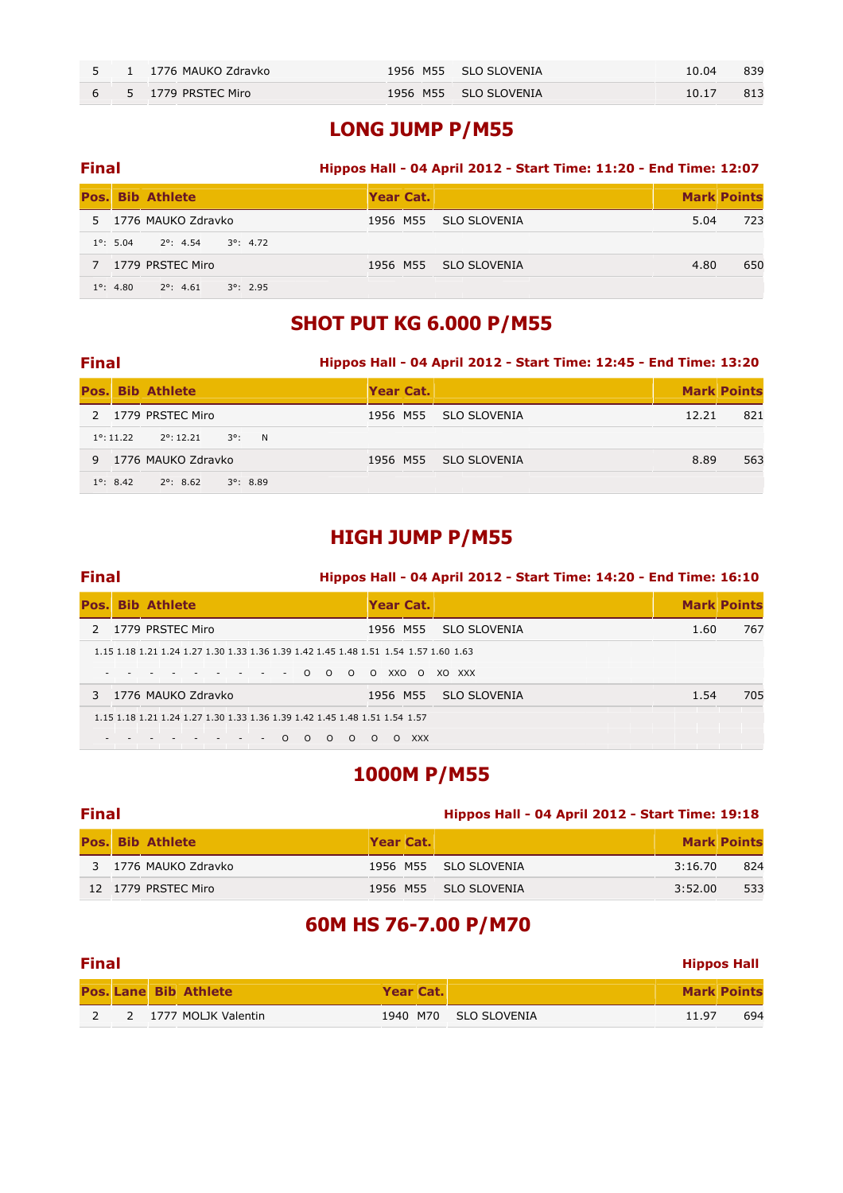|  | 5 1 1776 MAUKO Zdravko | 1956 M55 SLO SLOVENIA | 10.04 | 839 |
|--|------------------------|-----------------------|-------|-----|
|  | 6 5 1779 PRSTEC Miro   | 1956 M55 SLO SLOVENIA | 10.17 | 813 |

#### LONG JUMP P/M55

### Final Hippos Hall - 04 April 2012 - Start Time: 11:20 - End Time: 12:07 **Pos. Bib Athlete Wear Cat.** Mark Points Atlantic Wear Cat. Mark Points Atlantic Mark Points 5 1776 MAUKO Zdravko 1956 M55 SLO SLOVENIA 5.04 723 1°: 5.04 2°: 4.54 3°: 4.72 7 1779 PRSTEC Miro 1956 M55 SLO SLOVENIA 4.80 650 1°: 4.80 2°: 4.61 3°: 2.95

## SHOT PUT KG 6.000 P/M55

#### Final Hippos Hall - 04 April 2012 - Start Time: 12:45 - End Time: 13:20

|                     | <b>Pos. Bib Athlete</b>                | Year Cat. |                       |       | <b>Mark Points</b> |
|---------------------|----------------------------------------|-----------|-----------------------|-------|--------------------|
|                     | 2 1779 PRSTEC Miro                     |           | 1956 M55 SLO SLOVENIA | 12.21 | 821                |
| $1^{\circ}$ : 11.22 | $2^{\circ}$ : 12.21<br>$3^{\circ}$ : N |           |                       |       |                    |
|                     | 9 1776 MAUKO Zdravko                   |           | 1956 M55 SLO SLOVENIA | 8.89  | 563                |
| $1^{\circ}$ : 8.42  | $3^{\circ}$ : 8.89<br>2°: 8.62         |           |                       |       |                    |

### HIGH JUMP P/M55

#### Final Hippos Hall - 04 April 2012 - Start Time: 14:20 - End Time: 16:10

|  | <b>Pos. Bib Athlete</b>                                                                      | Year Cat. |            |                       |      | <b>Mark Points</b> |
|--|----------------------------------------------------------------------------------------------|-----------|------------|-----------------------|------|--------------------|
|  | 2 1779 PRSTEC Miro                                                                           | 1956 M55  |            | SLO SLOVENIA          | 1.60 | 767                |
|  | 1.15 1.18 1.21 1.24 1.27 1.30 1.33 1.36 1.39 1.42 1.45 1.48 1.51 1.54 1.57 1.60 1.63         |           |            |                       |      |                    |
|  | the company of the company of the<br>$-$ 0 0 0 0 XXO 0 XO XXX<br>$\mathcal{L} = \mathcal{L}$ |           |            |                       |      |                    |
|  | 3 1776 MAUKO Zdravko                                                                         |           |            | 1956 M55 SLO SLOVENIA | 1.54 | 705                |
|  | 1.15 1.18 1.21 1.24 1.27 1.30 1.33 1.36 1.39 1.42 1.45 1.48 1.51 1.54 1.57                   |           |            |                       |      |                    |
|  | $\Omega$<br>$\Omega$<br><u>റ</u><br>$\Omega$ $\Omega$                                        | $\Omega$  | <b>XXX</b> |                       |      |                    |

#### 1000M P/M55

#### Final Hippos Hall - 04 April 2012 - Start Time: 19:18

|  | <b>Pos. Bib Athlete</b> | <b>Year Cat.</b> |                       |         | <b>Mark Points</b> |
|--|-------------------------|------------------|-----------------------|---------|--------------------|
|  | 3 1776 MAUKO Zdravko    |                  | 1956 M55 SLO SLOVENIA | 3:16.70 | 824                |
|  | 12 1779 PRSTEC Miro     |                  | 1956 M55 SLO SLOVENIA | 3:52.00 | 533                |

# 60M HS 76-7.00 P/M70

| <b>Final</b> |  |                              |           |  |                       |       |                    |  |
|--------------|--|------------------------------|-----------|--|-----------------------|-------|--------------------|--|
|              |  | <b>Pos. Lane Bib Athlete</b> | Year Cat. |  |                       |       | <b>Mark Points</b> |  |
|              |  | 2 1777 MOLJK Valentin        |           |  | 1940 M70 SLO SLOVENIA | 11.97 | 694                |  |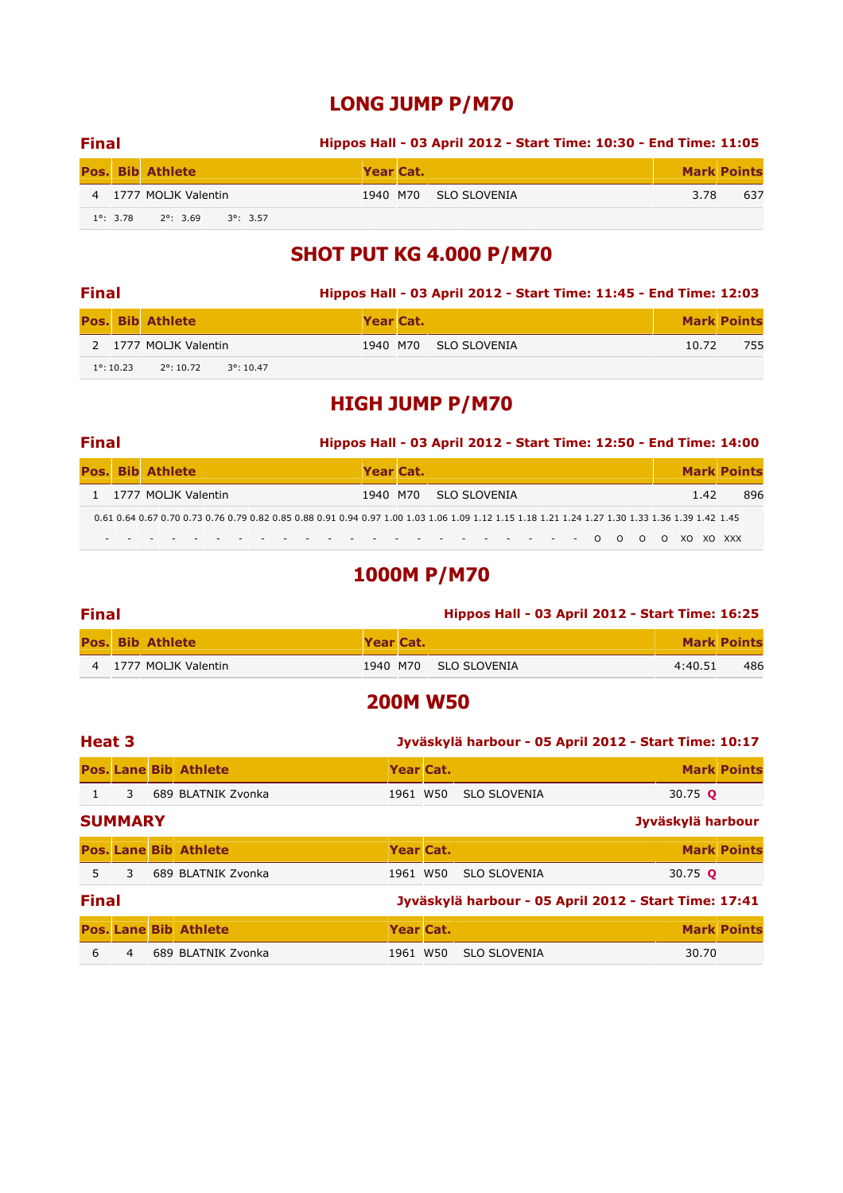# LONG JUMP P/M70

| <b>Final</b> |                                                             | Hippos Hall - 03 April 2012 - Start Time: 10:30 - End Time: 11:05 |           |                       |      |                    |  |  |  |
|--------------|-------------------------------------------------------------|-------------------------------------------------------------------|-----------|-----------------------|------|--------------------|--|--|--|
|              | Pos. Bib Athlete                                            |                                                                   | Year Cat. |                       |      | <b>Mark Points</b> |  |  |  |
|              | 4 1777 MOLJK Valentin                                       |                                                                   |           | 1940 M70 SLO SLOVENIA | 3.78 | 637                |  |  |  |
|              | $1^{\circ}$ : 3.78 $2^{\circ}$ : 3.69<br>$3^{\circ}$ : 3.57 |                                                                   |           |                       |      |                    |  |  |  |

# SHOT PUT KG 4.000 P/M70

| <b>Final</b> |                     |                         |                     |           | Hippos Hall - 03 April 2012 - Start Time: 11:45 - End Time: 12:03 |       |                    |
|--------------|---------------------|-------------------------|---------------------|-----------|-------------------------------------------------------------------|-------|--------------------|
|              |                     | <b>Pos. Bib Athlete</b> |                     | Year Cat. |                                                                   |       | <b>Mark Points</b> |
|              |                     | 2 1777 MOLJK Valentin   |                     |           | 1940 M70 SLO SLOVENIA                                             | 10.72 | 755                |
|              | $1^{\circ}$ : 10.23 | $2^{\circ}$ : 10.72     | $3^{\circ}$ : 10.47 |           |                                                                   |       |                    |

# HIGH JUMP P/M70

#### Final Hippos Hall - 03 April 2012 - Start Time: 12:50 - End Time: 14:00

| <b>Pos. Bib Athlete</b> |  |                       |  |                                                                                                                                                  |                             |  | Year Cat.             |  |  |  |  |  |  |  |     | <b>Mark Points</b> |
|-------------------------|--|-----------------------|--|--------------------------------------------------------------------------------------------------------------------------------------------------|-----------------------------|--|-----------------------|--|--|--|--|--|--|--|-----|--------------------|
|                         |  | 1 1777 MOLIK Valentin |  |                                                                                                                                                  |                             |  | 1940 M70 SLO SLOVENIA |  |  |  |  |  |  |  | 142 | 896                |
|                         |  |                       |  | 0.61 0.64 0.67 0.70 0.73 0.76 0.79 0.82 0.85 0.88 0.91 0.94 0.97 1.00 1.03 1.06 1.09 1.12 1.15 1.18 1.21 1.24 1.27 1.30 1.33 1.36 1.39 1.42 1.45 |                             |  |                       |  |  |  |  |  |  |  |     |                    |
|                         |  |                       |  |                                                                                                                                                  | ------------------0000X0XXX |  |                       |  |  |  |  |  |  |  |     |                    |

# 1000M P/M70

| <b>Final</b> |                         | <b>Hippos Hall - 03 April 2012 - Start Time: 16:25</b> |  |                       |         |                    |
|--------------|-------------------------|--------------------------------------------------------|--|-----------------------|---------|--------------------|
|              | <b>Pos. Bib Athlete</b> | Year Cat.                                              |  |                       |         | <b>Mark Points</b> |
|              | 4 1777 MOLIK Valentin   |                                                        |  | 1940 M70 SLO SLOVENIA | 4:40.51 | 486                |

## 200M W50

| Heat 3<br>Jyväskylä harbour - 05 April 2012 - Start Time: 10:17 |                |  |                              |           |  |                                                       |                   |                    |
|-----------------------------------------------------------------|----------------|--|------------------------------|-----------|--|-------------------------------------------------------|-------------------|--------------------|
|                                                                 |                |  | <b>Pos. Lane Bib Athlete</b> | Year Cat. |  |                                                       |                   | <b>Mark Points</b> |
|                                                                 | 3              |  | 689 BLATNIK Zvonka           | 1961 W50  |  | <b>SLO SLOVENIA</b>                                   | 30.75 <b>Q</b>    |                    |
|                                                                 | <b>SUMMARY</b> |  |                              |           |  |                                                       | Jyväskylä harbour |                    |
|                                                                 |                |  | <b>Pos. Lane Bib Athlete</b> | Year Cat. |  |                                                       |                   | <b>Mark Points</b> |
| 5.                                                              | 3              |  | 689 BLATNIK Zvonka           | 1961 W50  |  | <b>SLO SLOVENIA</b>                                   | 30.75 <b>Q</b>    |                    |
| <b>Final</b>                                                    |                |  |                              |           |  | Jyväskylä harbour - 05 April 2012 - Start Time: 17:41 |                   |                    |
|                                                                 |                |  | <b>Pos. Lane Bib Athlete</b> | Year Cat. |  |                                                       |                   | <b>Mark Points</b> |
| 6                                                               | 4              |  | 689 BLATNIK Zvonka           | 1961 W50  |  | <b>SLO SLOVENIA</b>                                   | 30.70             |                    |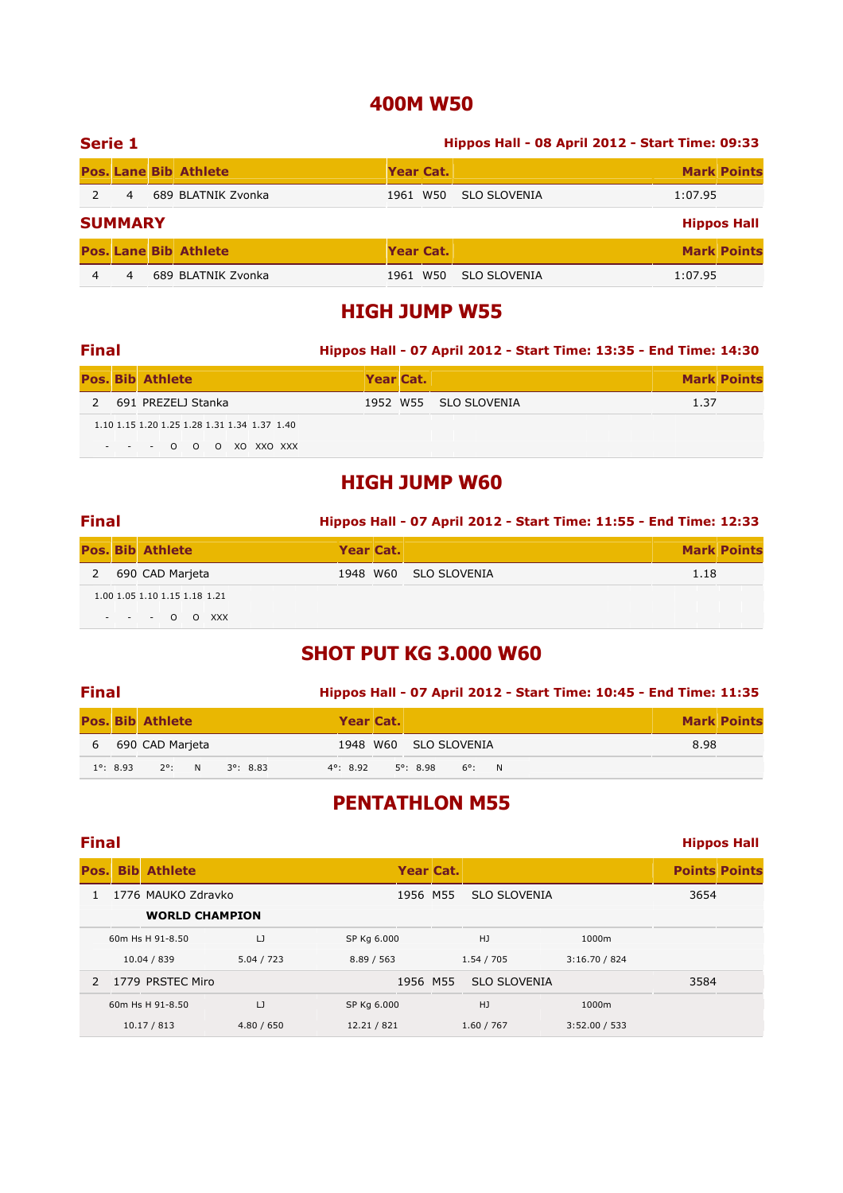# 400M W50

| Serie 1 |                |                              | Hippos Hall - 08 April 2012 - Start Time: 09:33 |  |                     |         |                    |  |  |  |
|---------|----------------|------------------------------|-------------------------------------------------|--|---------------------|---------|--------------------|--|--|--|
|         |                | <b>Pos. Lane Bib Athlete</b> | Year Cat.                                       |  |                     |         | <b>Mark Points</b> |  |  |  |
|         | $\overline{4}$ | 689 BLATNIK Zvonka           | 1961 W50                                        |  | <b>SLO SLOVENIA</b> | 1:07.95 |                    |  |  |  |
|         | <b>SUMMARY</b> |                              |                                                 |  |                     |         | <b>Hippos Hall</b> |  |  |  |
|         |                | <b>Pos. Lane Bib Athlete</b> | Year Cat.                                       |  |                     |         | <b>Mark Points</b> |  |  |  |
| 4       | 4              | 689 BLATNIK Zvonka           | 1961 W50                                        |  | SLO SLOVENIA        | 1:07.95 |                    |  |  |  |

## HIGH JUMP W55

| <b>Final</b> |                                                                            |           | Hippos Hall - 07 April 2012 - Start Time: 13:35 - End Time: 14:30 |      |                    |
|--------------|----------------------------------------------------------------------------|-----------|-------------------------------------------------------------------|------|--------------------|
|              | <b>Pos. Bib Athlete</b>                                                    | Year Cat. |                                                                   |      | <b>Mark Points</b> |
|              | 691 PREZELJ Stanka                                                         |           | 1952 W55 SLO SLOVENIA                                             | 1.37 |                    |
|              | 1.10 1.15 1.20 1.25 1.28 1.31 1.34 1.37 1.40<br>$- - - 0$ 0 0 0 XO XXO XXX |           |                                                                   |      |                    |

### HIGH JUMP W60

| <b>Final</b> |                               | Hippos Hall - 07 April 2012 - Start Time: 11:55 - End Time: 12:33 |                       |      |                    |
|--------------|-------------------------------|-------------------------------------------------------------------|-----------------------|------|--------------------|
|              | <b>Pos. Bib Athlete</b>       | Year Cat.                                                         |                       |      | <b>Mark Points</b> |
| 2            | 690 CAD Marjeta               |                                                                   | 1948 W60 SLO SLOVENIA | 1.18 |                    |
|              | 1.00 1.05 1.10 1.15 1.18 1.21 |                                                                   |                       |      |                    |
|              | $- - - 0$ O XXX               |                                                                   |                       |      |                    |

# SHOT PUT KG 3.000 W60

| <b>Final</b> |                    |                                       | Hippos Hall - 07 April 2012 - Start Time: 10:45 - End Time: 11:35 |                    |
|--------------|--------------------|---------------------------------------|-------------------------------------------------------------------|--------------------|
|              |                    | <b>Pos. Bib Athlete</b>               | Year Cat.                                                         | <b>Mark Points</b> |
|              |                    | 6 690 CAD Marjeta                     | 1948 W60 SLO SLOVENIA                                             | 8.98               |
|              | $1^{\circ}$ : 8.93 | $2^{\circ}$ : N<br>$3^{\circ}$ : 8.83 | $5^{\circ}$ : 8.98 $6^{\circ}$ : N<br>$4^{\circ}$ : 8.92          |                    |

# PENTATHLON M55

|               | <b>Final</b> |                       |            |             |           |                     |               | <b>Hippos Hall</b>   |  |
|---------------|--------------|-----------------------|------------|-------------|-----------|---------------------|---------------|----------------------|--|
| Pos.          | <b>Bib</b>   | <b>Athlete</b>        |            |             | Year Cat. |                     |               | <b>Points Points</b> |  |
|               |              | 1776 MAUKO Zdravko    |            |             | 1956 M55  | <b>SLO SLOVENIA</b> |               | 3654                 |  |
|               |              | <b>WORLD CHAMPION</b> |            |             |           |                     |               |                      |  |
|               |              | 60m Hs H 91-8.50      | IJ         | SP Kg 6.000 |           | HJ                  | 1000m         |                      |  |
|               |              | 10.04 / 839           | 5.04 / 723 | 8.89 / 563  |           | 1.54 / 705          | 3:16.70 / 824 |                      |  |
| $\mathcal{L}$ |              | 1779 PRSTEC Miro      |            |             | 1956 M55  | <b>SLO SLOVENIA</b> |               | 3584                 |  |
|               |              | 60m Hs H 91-8.50      | $\cup$     | SP Kg 6.000 |           | HJ                  | 1000m         |                      |  |
|               |              | 10.17 / 813           | 4.80 / 650 | 12.21 / 821 |           | 1.60 / 767          | 3:52.00 / 533 |                      |  |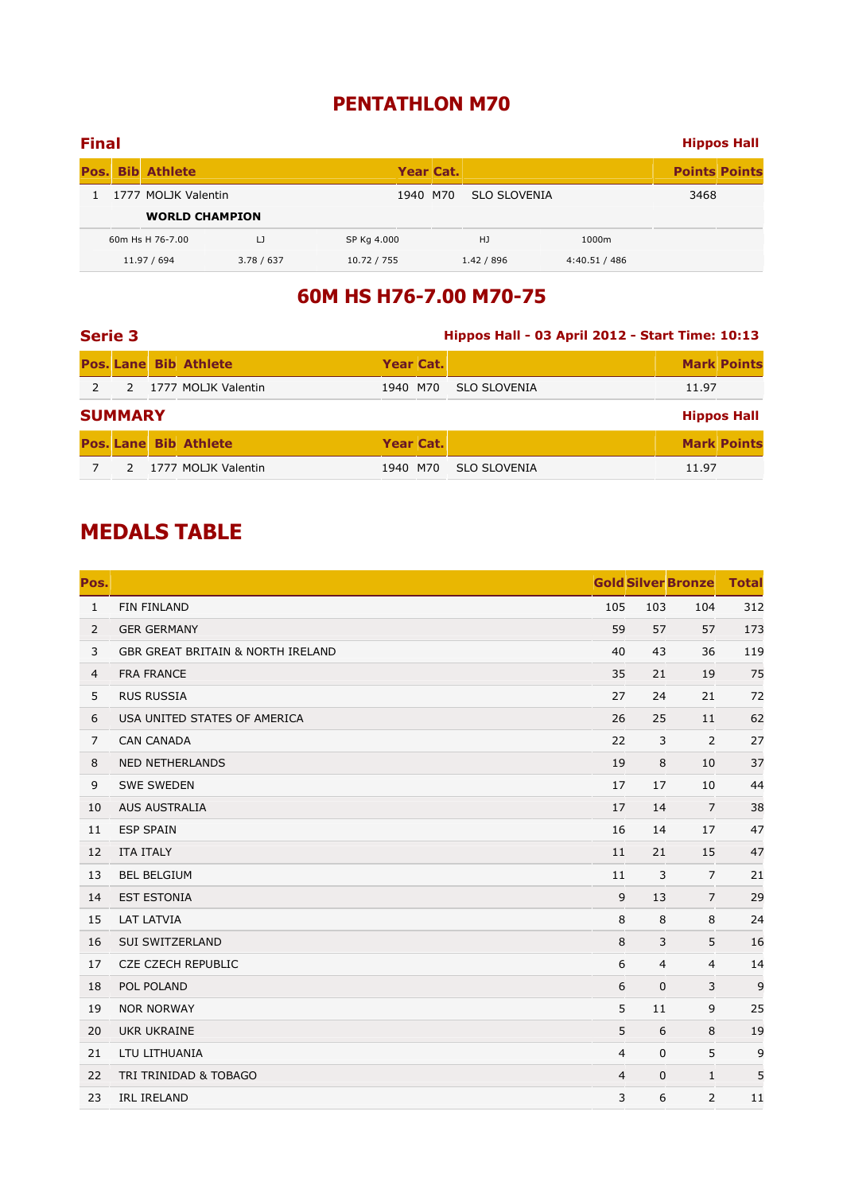# PENTATHLON M70

| <b>Final</b> |                         |            |             |           |                     |               |                      | <b>Hippos Hall</b> |
|--------------|-------------------------|------------|-------------|-----------|---------------------|---------------|----------------------|--------------------|
|              | <b>Pos. Bib Athlete</b> |            |             | Year Cat. |                     |               | <b>Points Points</b> |                    |
|              | 1777 MOLJK Valentin     |            |             | 1940 M70  | <b>SLO SLOVENIA</b> |               | 3468                 |                    |
|              | <b>WORLD CHAMPION</b>   |            |             |           |                     |               |                      |                    |
|              | 60m Hs H 76-7.00        | IJ         | SP Kg 4.000 |           | HJ                  | 1000m         |                      |                    |
|              | 11.97 / 694             | 3.78 / 637 | 10.72 / 755 |           | 1.42 / 896          | 4:40.51 / 486 |                      |                    |

# 60M HS H76-7.00 M70-75

| <b>Serie 3</b> |                |                              | Hippos Hall - 03 April 2012 - Start Time: 10:13 |  |                     |       |                    |  |  |
|----------------|----------------|------------------------------|-------------------------------------------------|--|---------------------|-------|--------------------|--|--|
|                |                | <b>Pos. Lane Bib Athlete</b> | Year Cat.                                       |  |                     |       | <b>Mark Points</b> |  |  |
| $\mathcal{P}$  |                | 2 1777 MOLJK Valentin        | 1940 M70                                        |  | <b>SLO SLOVENIA</b> | 11.97 |                    |  |  |
|                | <b>SUMMARY</b> |                              |                                                 |  |                     |       | <b>Hippos Hall</b> |  |  |
|                |                | <b>Pos. Lane Bib Athlete</b> | Year Cat.                                       |  |                     |       | <b>Mark Points</b> |  |  |
|                |                | 1777 MOLJK Valentin          | 1940 M70                                        |  | <b>SLO SLOVENIA</b> | 11.97 |                    |  |  |

# MEDALS TABLE

| Pos.           |                                              |                |                | <b>Gold Silver Bronze</b> | <b>Total</b> |
|----------------|----------------------------------------------|----------------|----------------|---------------------------|--------------|
| $\mathbf{1}$   | FIN FINLAND                                  | 105            | 103            | 104                       | 312          |
| $\overline{2}$ | <b>GER GERMANY</b>                           | 59             | 57             | 57                        | 173          |
| 3              | <b>GBR GREAT BRITAIN &amp; NORTH IRELAND</b> | 40             | 43             | 36                        | 119          |
| $\overline{4}$ | <b>FRA FRANCE</b>                            | 35             | 21             | 19                        | 75           |
| 5              | <b>RUS RUSSIA</b>                            | 27             | 24             | 21                        | 72           |
| 6              | USA UNITED STATES OF AMERICA                 | 26             | 25             | 11                        | 62           |
| $\overline{7}$ | <b>CAN CANADA</b>                            | 22             | 3              | 2                         | 27           |
| 8              | <b>NED NETHERLANDS</b>                       | 19             | 8              | 10                        | 37           |
| 9              | <b>SWE SWEDEN</b>                            | 17             | 17             | 10                        | 44           |
| 10             | <b>AUS AUSTRALIA</b>                         | 17             | 14             | 7                         | 38           |
| 11             | <b>ESP SPAIN</b>                             | 16             | 14             | 17                        | 47           |
| 12             | <b>ITA ITALY</b>                             | 11             | 21             | 15                        | 47           |
| 13             | <b>BEL BELGIUM</b>                           | 11             | 3              | $\overline{7}$            | 21           |
| 14             | <b>EST ESTONIA</b>                           | 9              | 13             | $\overline{7}$            | 29           |
| 15             | <b>LAT LATVIA</b>                            | 8              | 8              | 8                         | 24           |
| 16             | SUI SWITZERLAND                              | 8              | 3              | 5                         | 16           |
| 17             | <b>CZE CZECH REPUBLIC</b>                    | 6              | $\overline{4}$ | $\overline{4}$            | 14           |
| 18             | POL POLAND                                   | 6              | $\mathbf 0$    | 3                         | 9            |
| 19             | <b>NOR NORWAY</b>                            | 5              | 11             | 9                         | 25           |
| 20             | <b>UKR UKRAINE</b>                           | 5              | 6              | 8                         | 19           |
| 21             | LTU LITHUANIA                                | $\overline{4}$ | $\mathbf 0$    | 5                         | 9            |
| 22             | TRI TRINIDAD & TOBAGO                        | $\overline{4}$ | $\mathbf{0}$   | $\mathbf{1}$              | 5            |
| 23             | <b>IRL IRELAND</b>                           | 3              | 6              | 2                         | 11           |